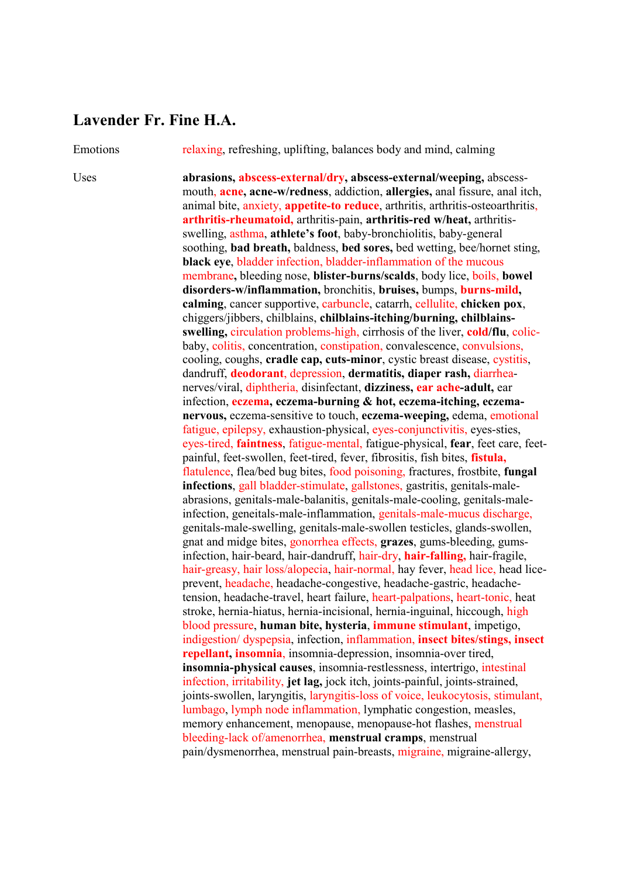## **Lavender Fr. Fine H.A.**

Emotions relaxing, refreshing, uplifting, balances body and mind, calming

Uses **abrasions, abscess-external/dry, abscess-external/weeping,** abscessmouth, **acne, acne-w/redness**, addiction, **allergies,** anal fissure, anal itch, animal bite, anxiety, **appetite-to reduce**, arthritis, arthritis-osteoarthritis, **arthritis-rheumatoid,** arthritis-pain, **arthritis-red w/heat,** arthritisswelling, asthma, **athlete's foot**, baby-bronchiolitis, baby-general soothing, **bad breath,** baldness, **bed sores,** bed wetting, bee/hornet sting, **black eye**, bladder infection, bladder-inflammation of the mucous membrane**,** bleeding nose, **blister-burns/scalds**, body lice, boils, **bowel disorders-w/inflammation,** bronchitis, **bruises,** bumps, **burns-mild, calming**, cancer supportive, carbuncle, catarrh, cellulite, **chicken pox**, chiggers/jibbers, chilblains, **chilblains-itching/burning, chilblainsswelling,** circulation problems-high, cirrhosis of the liver, **cold/flu**, colicbaby, colitis, concentration, constipation, convalescence, convulsions, cooling, coughs, **cradle cap, cuts-minor**, cystic breast disease, cystitis, dandruff, **deodorant**, depression, **dermatitis, diaper rash,** diarrheanerves/viral, diphtheria, disinfectant, **dizziness, ear ache-adult,** ear infection, **eczema, eczema-burning & hot, eczema-itching, eczemanervous,** eczema-sensitive to touch, **eczema-weeping,** edema, emotional fatigue, epilepsy, exhaustion-physical, eyes-conjunctivitis, eyes-sties, eyes-tired, **faintness**, fatigue-mental, fatigue-physical, **fear**, feet care, feetpainful, feet-swollen, feet-tired, fever, fibrositis, fish bites, **fistula,** flatulence, flea/bed bug bites, food poisoning, fractures, frostbite, **fungal infections**, gall bladder-stimulate, gallstones, gastritis, genitals-maleabrasions, genitals-male-balanitis, genitals-male-cooling, genitals-maleinfection, geneitals-male-inflammation, genitals-male-mucus discharge, genitals-male-swelling, genitals-male-swollen testicles, glands-swollen, gnat and midge bites, gonorrhea effects, **grazes**, gums-bleeding, gumsinfection, hair-beard, hair-dandruff, hair-dry, **hair-falling,** hair-fragile, hair-greasy, hair loss/alopecia, hair-normal, hay fever, head lice, head liceprevent, headache, headache-congestive, headache-gastric, headachetension, headache-travel, heart failure, heart-palpations, heart-tonic, heat stroke, hernia-hiatus, hernia-incisional, hernia-inguinal, hiccough, high blood pressure, **human bite, hysteria**, **immune stimulant**, impetigo, indigestion/ dyspepsia, infection, inflammation, **insect bites/stings, insect repellant, insomnia**, insomnia-depression, insomnia-over tired, **insomnia-physical causes**, insomnia-restlessness, intertrigo, intestinal infection, irritability, **jet lag,** jock itch, joints-painful, joints-strained, joints-swollen, laryngitis, laryngitis-loss of voice, leukocytosis, stimulant, lumbago, lymph node inflammation, lymphatic congestion, measles, memory enhancement, menopause, menopause-hot flashes, menstrual bleeding-lack of/amenorrhea, **menstrual cramps**, menstrual pain/dysmenorrhea, menstrual pain-breasts, migraine, migraine-allergy,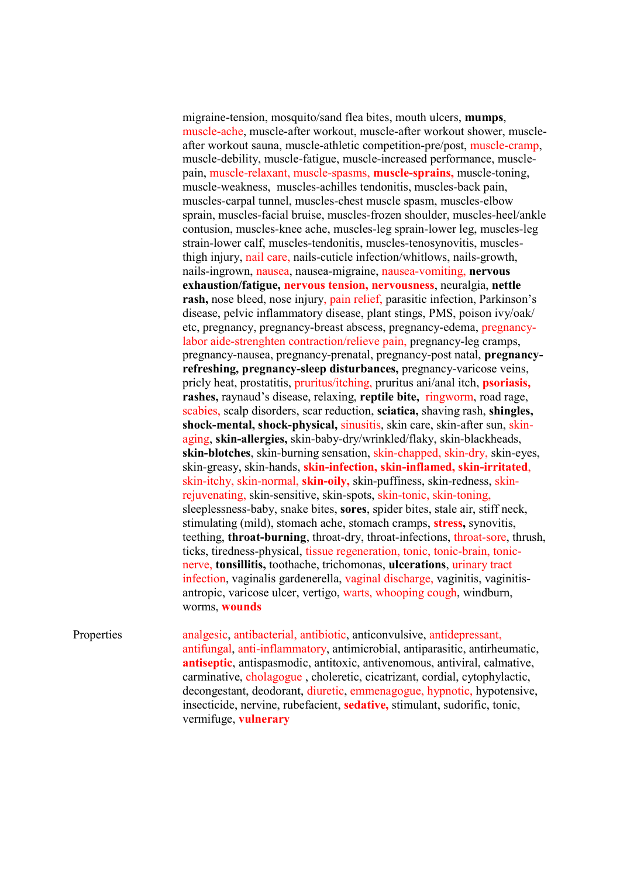migraine-tension, mosquito/sand flea bites, mouth ulcers, **mumps**, muscle-ache, muscle-after workout, muscle-after workout shower, muscleafter workout sauna, muscle-athletic competition-pre/post, muscle-cramp, muscle-debility, muscle-fatigue, muscle-increased performance, musclepain, muscle-relaxant, muscle-spasms, **muscle-sprains,** muscle-toning, muscle-weakness, muscles-achilles tendonitis, muscles-back pain, muscles-carpal tunnel, muscles-chest muscle spasm, muscles-elbow sprain, muscles-facial bruise, muscles-frozen shoulder, muscles-heel/ankle contusion, muscles-knee ache, muscles-leg sprain-lower leg, muscles-leg strain-lower calf, muscles-tendonitis, muscles-tenosynovitis, musclesthigh injury, nail care, nails-cuticle infection/whitlows, nails-growth, nails-ingrown, nausea, nausea-migraine, nausea-vomiting, **nervous exhaustion/fatigue, nervous tension, nervousness**, neuralgia, **nettle rash,** nose bleed, nose injury, pain relief, parasitic infection, Parkinson's disease, pelvic inflammatory disease, plant stings, PMS, poison ivy/oak/ etc, pregnancy, pregnancy-breast abscess, pregnancy-edema, pregnancylabor aide-strenghten contraction/relieve pain, pregnancy-leg cramps, pregnancy-nausea, pregnancy-prenatal, pregnancy-post natal, **pregnancyrefreshing, pregnancy-sleep disturbances,** pregnancy-varicose veins, pricly heat, prostatitis, pruritus/itching, pruritus ani/anal itch, **psoriasis, rashes,** raynaud's disease, relaxing, **reptile bite,** ringworm, road rage, scabies, scalp disorders, scar reduction, **sciatica,** shaving rash, **shingles, shock-mental, shock-physical,** sinusitis, skin care, skin-after sun, skinaging, **skin-allergies,** skin-baby-dry/wrinkled/flaky, skin-blackheads, **skin-blotches**, skin-burning sensation, skin-chapped, skin-dry, skin-eyes, skin-greasy, skin-hands, **skin-infection, skin-inflamed, skin-irritated**, skin-itchy, skin-normal, **skin-oily,** skin-puffiness, skin-redness, skinrejuvenating, skin-sensitive, skin-spots, skin-tonic, skin-toning, sleeplessness-baby, snake bites, **sores**, spider bites, stale air, stiff neck, stimulating (mild), stomach ache, stomach cramps, **stress,** synovitis, teething, **throat-burning**, throat-dry, throat-infections, throat-sore, thrush, ticks, tiredness-physical, tissue regeneration, tonic, tonic-brain, tonicnerve, **tonsillitis,** toothache, trichomonas, **ulcerations**, urinary tract infection, vaginalis gardenerella, vaginal discharge, vaginitis, vaginitisantropic, varicose ulcer, vertigo, warts, whooping cough, windburn, worms, **wounds**

Properties analgesic, antibacterial, antibiotic, anticonvulsive, antidepressant, antifungal, anti-inflammatory, antimicrobial, antiparasitic, antirheumatic, **antiseptic**, antispasmodic, antitoxic, antivenomous, antiviral, calmative, carminative, cholagogue , choleretic, cicatrizant, cordial, cytophylactic, decongestant, deodorant, diuretic, emmenagogue, hypnotic, hypotensive, insecticide, nervine, rubefacient, **sedative,** stimulant, sudorific, tonic, vermifuge, **vulnerary**